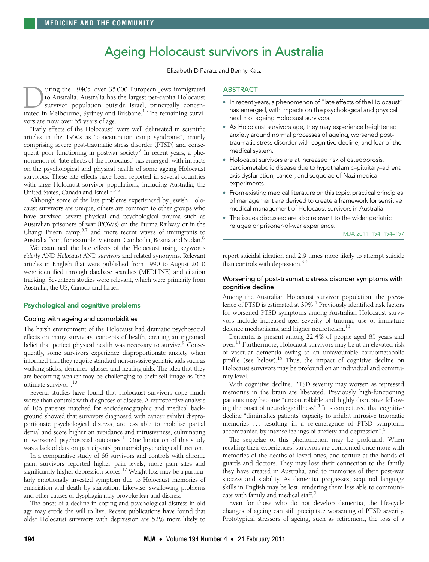# Ageing Holocaust survivors in Australia

Elizabeth D Paratz and Benny Katz

<span id="page-0-0"></span>uring the 1940s, over 35 000 European Jews immigrated to Australia. Australia has the largest per-capita Holocaust survivor population outside Israel, principally concen-Imag the [1](#page-3-0)940s, over 35 000 European Jews immigrated to Australia. Australia has the largest per-capita Holocaust survivor population outside Israel, principally concentrated in Melbourne, Sydney and Brisbane.<sup>1</sup> The remai vors are now over 65 years of age.

nomenon of "late effects of the Holocaust" has emerged, with impacts on the psychological and physical [hea](#page-0-0)[lth](#page-3-15) of some ageing Holocaust survivors. These late effects have been reported in several countries large Holocaust d States, Canada and Israel.<sup>1</sup> "Early effects of the Holocaust" were well delineated in scientific articles in the 1950s as "concentration camp syndrome", mainly comprising severe post-traumatic stress disorder (PTSD) and conse-quent poor functioning in postwar society.<sup>[2](#page-3-1)</sup> In recent years, a phewith large Holocaust survivor populations, including Australia, the United States, Canada and Israel.<sup>1,[3](#page-3-2)[-5](#page-3-3)</sup>

Although some of the late problems experienced by Jewish Holocaust survivors are unique, others are common to other groups who have survived severe physical and psychological trauma such as Australian prisoners of war (POWs) on the Burma Railway or in the Changi Prison camp,<sup>6,7</sup> and more recent waves of immigrants to Australia from, for example, Vietnam, Cambodia, Bosnia and Sudan.[8](#page-3-6)

We examined the late effects of the Holocaust using keywords *elderly* AND *Holocaust* AND *survivors* and related synonyms. Relevant articles in English that were published from 1990 to August 2010 were identified through database searches (MEDLINE) and citation tracking. Seventeen studies were relevant, which were primarily from Australia, the US, Canada and Israel.

# Psychological and cognitive problems

#### Coping with ageing and comorbidities

The harsh environment of the Holocaust had dramatic psychosocial effects on many survivors' concepts of health, creating an ingrained belief that perfect physical health was necessary to survive.<sup>[9](#page-3-7)</sup> Consequently, some survivors experience disproportionate anxiety when informed that they require standard non-invasive geriatric aids such as walking sticks, dentures, glasses and hearing aids. The idea that they are becoming weaker may be challenging to their self-image as "the ultimate survivor"[.10](#page-3-8)

Several studies have found that Holocaust survivors cope much worse than controls with diagnoses of disease. A retrospective analysis of 106 patients matched for sociodemographic and medical background showed that survivors diagnosed with cancer exhibit disproportionate psychological distress, are less able to mobilise partial denial and score higher on avoidance and intrusiveness, culminating in worsened psychosocial outcomes.<sup>11</sup> One limitation of this study was a lack of data on participants' premorbid psychological function.

In a comparative study of 66 survivors and controls with chronic pain, survivors reported higher pain levels, more pain sites and significantly higher depression scores.<sup>12</sup> Weight loss may be a particularly emotionally invested symptom due to Holocaust memories of emaciation and death by starvation. Likewise, swallowing problems and other causes of dysphagia may provoke fear and distress.

The onset of a decline in coping and psychological distress in old age may erode the will to live. Recent publications have found that older Holocaust survivors with depression are 52% more likely to

## ABSTRACT

- In recent years, a phenomenon of "late effects of the Holocaust" has emerged, with impacts on the psychological and physical health of ageing Holocaust survivors.
- As Holocaust survivors age, they may experience heightened anxiety around normal processes of ageing, worsened posttraumatic stress disorder with cognitive decline, and fear of the medical system.
- Holocaust survivors are at increased risk of osteoporosis, cardiometabolic disease due to hypothalamic–pituitary–adrenal axis dysfunction, cancer, and sequelae of Nazi medical experiments.
- From existing medical literature on this topic, practical principles of management are derived to create a framework for sensitive medical management of Holocaust survivors in Australia.
- The issues discussed are also relevant to the wider geriatric refugee or prisoner-of-war experience.

MJA 2011; 194: 194–197

report suicidal ideation and 2.9 times more likely to attempt suicide than controls with depression.<sup>[3](#page-3-2),[4](#page-3-11)</sup>

# Worsening of post-traumatic stress disorder symptoms with cognitive decline

Among the Australian Holocaust survivor population, the preva-lence of PTSD is estimated at 39%.<sup>[1](#page-3-0)</sup> Previously identified risk factors for worsened PTSD symptoms among Australian Holocaust survivors include increased age, severity of trauma, use of immature defence mechanisms, and higher neuroticism.<sup>13</sup>

Dementia is present among 22.4% of people aged 85 years and over.<sup>14</sup> Furthermore, Holocaust survivors may be at an elevated risk of vascular dementia owing to an unfavourable cardiometabolic profile (see below).<sup>15</sup> Thus, the impact of cognitive decline on Holocaust survivors may be profound on an individual and community level.

With cognitive decline, PTSD severity may worsen as repressed memories in the brain are liberated. Previously high-functioning patients may become "uncontrollable and highly disruptive following the onset of neurologic illness".[5](#page-3-3) It is conjectured that cognitive decline "diminishes patients' capacity to inhibit intrusive traumatic memories ... resulting in a re-emergence of PTSD symptoms accompanied by intense feelings of anxiety and depression".[5](#page-3-3)

The sequelae of this phenomenon may be profound. When recalling their experiences, survivors are confronted once more with memories of the deaths of loved ones, and torture at the hands of guards and doctors. They may lose their connection to the family they have created in Australia, and to memories of their post-war success and stability. As dementia progresses, acquired language skills in English may be lost, rendering them less able to communicate with family and medical staff.<sup>5</sup>

Even for those who do not develop dementia, the life-cycle changes of ageing can still precipitate worsening of PTSD severity. Prototypical stressors of ageing, such as retirement, the loss of a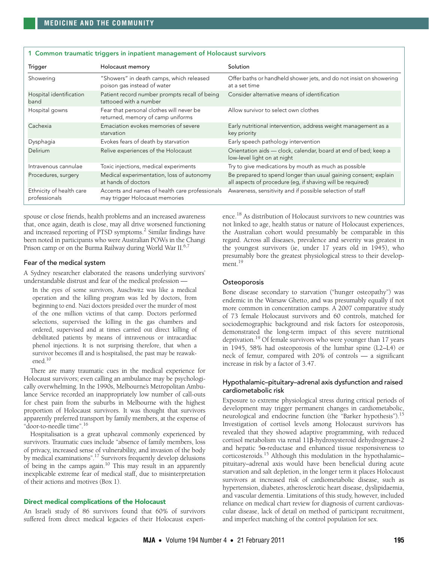| r Common dagmatic thqqers in inpatient management or noiocaust survivors |                                                                                  |                                                                                                                               |
|--------------------------------------------------------------------------|----------------------------------------------------------------------------------|-------------------------------------------------------------------------------------------------------------------------------|
| Trigger                                                                  | Holocaust memory                                                                 | Solution                                                                                                                      |
| Showering                                                                | "Showers" in death camps, which released<br>poison gas instead of water          | Offer baths or handheld shower jets, and do not insist on showering<br>at a set time                                          |
| Hospital identification<br>band                                          | Patient record number prompts recall of being<br>tattooed with a number          | Consider alternative means of identification                                                                                  |
| Hospital gowns                                                           | Fear that personal clothes will never be<br>returned, memory of camp uniforms    | Allow survivor to select own clothes                                                                                          |
| Cachexia                                                                 | Emaciation evokes memories of severe<br>starvation                               | Early nutritional intervention, address weight management as a<br>key priority                                                |
| Dysphagia                                                                | Evokes fears of death by starvation                                              | Early speech pathology intervention                                                                                           |
| Delirium                                                                 | Relive experiences of the Holocaust                                              | Orientation aids - clock, calendar, board at end of bed; keep a<br>low-level light on at night                                |
| Intravenous cannulae                                                     | Toxic injections, medical experiments                                            | Try to give medications by mouth as much as possible                                                                          |
| Procedures, surgery                                                      | Medical experimentation, loss of autonomy<br>at hands of doctors                 | Be prepared to spend longer than usual gaining consent; explain<br>all aspects of procedure (eq. if shaving will be required) |
| Ethnicity of health care<br>professionals                                | Accents and names of health care professionals<br>may trigger Holocaust memories | Awareness, sensitivity and if possible selection of staff                                                                     |

<span id="page-1-0"></span>1 Common traumatic triggers in inpatient management of Holocaust survivors

spouse or close friends, health problems and an increased awareness that, once again, death is close, may all drive worsened functioning and increased reporting of PTSD symptoms.<sup>[2](#page-3-1)</sup> Similar findings have been noted in participants who were Australian POWs in the Changi Prison camp or on the Burma Railway during World War II.<sup>[6](#page-3-4),[7](#page-3-5)</sup>

# Fear of the medical system

A Sydney researcher elaborated the reasons underlying survivors' understandable distrust and fear of the medical profession —

In the eyes of some survivors, Auschwitz was like a medical operation and the killing program was led by doctors, from beginning to end. Nazi doctors presided over the murder of most of the one million victims of that camp. Doctors performed selections, supervised the killing in the gas chambers and ordered, supervised and at times carried out direct killing of debilitated patients by means of intravenous or intracardiac phenol injections. It is not surprising therefore, that when a survivor becomes ill and is hospitalised, the past may be reawakened<sup>10</sup>

There are many traumatic cues in the medical experience for Holocaust survivors; even calling an ambulance may be psychologically overwhelming. In the 1990s, Melbourne's Metropolitan Ambulance Service recorded an inappropriately low number of call-outs for chest pain from the suburbs in Melbourne with the highest proportion of Holocaust survivors. It was thought that survivors apparently preferred transport by family members, at the expense of "door-to-needle time"[.16](#page-3-16)

Hospitalisation is a great upheaval commonly experienced by survivors. Traumatic cues include "absence of family members, loss of privacy, increased sense of vulnerability, and invasion of the body by medical examinations".<sup>17</sup> Survivors frequently develop delusions of being in the camps again.<sup>10</sup> This may result in an apparently inexplicable extreme fear of medical staff, due to misinterpretation of their actions and motives [\(Box 1](#page-1-0)).

## Direct medical complications of the Holocaust

An Israeli study of 86 survivors found that 60% of survivors suffered from direct medical legacies of their Holocaust experience[.18](#page-3-18) As distribution of Holocaust survivors to new countries was not linked to age, health status or nature of Holocaust experiences, the Australian cohort would presumably be comparable in this regard. Across all diseases, prevalence and severity was greatest in the youngest survivors (ie, under 17 years old in 1945), who presumably bore the greatest physiological stress to their develop-ment.<sup>[19](#page-3-19)</sup>

#### **Osteoporosis**

Bone disease secondary to starvation ("hunger osteopathy") was endemic in the Warsaw Ghetto, and was presumably equally if not more common in concentration camps. A 2007 comparative study of 73 female Holocaust survivors and 60 controls, matched for sociodemographic background and risk factors for osteoporosis, demonstrated the long-term impact of this severe nutritional deprivation.<sup>[19](#page-3-19)</sup> Of female survivors who were younger than 17 years in 1945, 58% had osteoporosis of the lumbar spine (L2–L4) or neck of femur, compared with 20% of controls — a significant increase in risk by a factor of 3.47.

# Hypothalamic–pituitary–adrenal axis dysfunction and raised cardiometabolic risk

Exposure to extreme physiological stress during critical periods of development may trigger permanent changes in cardiometabolic, neurological and endocrine function (the "Barker hypothesis").<sup>[15](#page-3-14)</sup> Investigation of cortisol levels among Holocaust survivors has revealed that they showed adaptive programming, with reduced cortisol metabolism via renal 11β-hydroxysteroid dehydrogenase-2 and hepatic 5α-reductase and enhanced tissue responsiveness to corticosteroids.<sup>15</sup> Although this modulation in the hypothalamicpituitary–adrenal axis would have been beneficial during acute starvation and salt depletion, in the longer term it places Holocaust survivors at increased risk of cardiometabolic disease, such as hypertension, diabetes, atherosclerotic heart disease, dyslipidaemia, and vascular dementia. Limitations of this study, however, included reliance on medical chart review for diagnosis of current cardiovascular disease, lack of detail on method of participant recruitment, and imperfect matching of the control population for sex.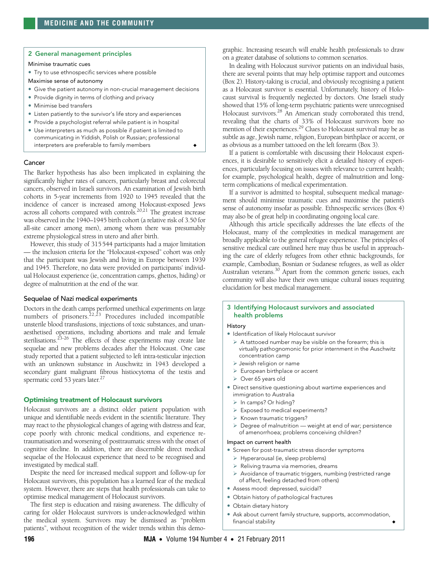# <span id="page-2-0"></span>2 General management principles

Minimise traumatic cues

- Try to use ethnospecific services where possible
- Maximise sense of autonomy
- Give the patient autonomy in non-crucial management decisions
- Provide dignity in terms of clothing and privacy
- Minimise bed transfers
- Listen patiently to the survivor's life story and experiences
- Provide a psychologist referral while patient is in hospital
- Use interpreters as much as possible if patient is limited to communicating in Yiddish, Polish or Russian; professional interpreters are preferable to family members

#### Cancer

The Barker hypothesis has also been implicated in explaining the significantly higher rates of cancers, particularly breast and colorectal cancers, observed in Israeli survivors. An examination of Jewish birth cohorts in 5-year increments from 1920 to 1945 revealed that the incidence of cancer is increased among Holocaust-exposed Jews across all cohorts compared with controls.<sup>[20](#page-3-20)[,21](#page-3-21)</sup> The greatest increase was observed in the 1940–1945 birth cohort (a relative risk of 3.50 for all-site cancer among men), among whom there was presumably extreme physiological stress in utero and after birth.

However, this study of 315544 participants had a major limitation — the inclusion criteria for the "Holocaust-exposed" cohort was only that the participant was Jewish and living in Europe between 1939 and 1945. Therefore, no data were provided on participants' individual Holocaust experience (ie, concentration camps, ghettos, hiding) or degree of malnutrition at the end of the war.

# Sequelae of Nazi medical experiments

Doctors in the death camps performed unethical experiments on large numbers of prisoners.<sup>[22](#page-3-22),[23](#page-3-23)</sup> Procedures included incompatible unsterile blood transfusions, injections of toxic substances, and unanaesthetised operations, including abortions and male and female sterilisations.<sup>[23-](#page-3-23)26</sup> The effects of these experiments may create late sequelae and new problems decades after the Holocaust. One case study reported that a patient subjected to left intra-testicular injection with an unknown substance in Auschwitz in 1943 developed a secondary giant malignant fibrous histiocytoma of the testis and spermatic cord 53 years later.<sup>27</sup>

#### Optimising treatment of Holocaust survivors

Holocaust survivors are a distinct older patient population with unique and identifiable needs evident in the scientific literature. They may react to the physiological changes of ageing with distress and fear, cope poorly with chronic medical conditions, and experience retraumatisation and worsening of posttraumatic stress with the onset of cognitive decline. In addition, there are discernible direct medical sequelae of the Holocaust experience that need to be recognised and investigated by medical staff.

Despite the need for increased medical support and follow-up for Holocaust survivors, this population has a learned fear of the medical system. However, there are steps that health professionals can take to optimise medical management of Holocaust survivors.

The first step is education and raising awareness. The difficulty of caring for older Holocaust survivors is under-acknowledged within the medical system. Survivors may be dismissed as "problem patients", without recognition of the wider trends within this demographic. Increasing research will enable health professionals to draw on a greater database of solutions to common scenarios.

In dealing with Holocaust survivor patients on an individual basis, there are several points that may help optimise rapport and outcomes [\(Box 2\)](#page-2-0). History-taking is crucial, and obviously recognising a patient as a Holocaust survivor is essential. Unfortunately, history of Holocaust survival is frequently neglected by doctors. One Israeli study showed that 15% of long-term psychiatric patients were unrecognised Holocaust survivors.<sup>28</sup> An American study corroborated this trend, revealing that the charts of 33% of Holocaust survivors bore no mention of their experiences.<sup>29</sup> Clues to Holocaust survival may be as subtle as age, Jewish name, religion, European birthplace or accent, or as obvious as a number tattooed on the left forearm [\(Box 3](#page-2-1)).

If a patient is comfortable with discussing their Holocaust experiences, it is desirable to sensitively elicit a detailed history of experiences, particularly focusing on issues with relevance to current health; for example, psychological health, degree of malnutrition and longterm complications of medical experimentation.

If a survivor is admitted to hospital, subsequent medical management should minimise traumatic cues and maximise the patient's sense of autonomy insofar as possible. Ethnospecific services ([Box 4\)](#page-3-28) may also be of great help in coordinating ongoing local care.

Although this article specifically addresses the late effects of the Holocaust, many of the complexities in medical management are broadly applicable to the general refugee experience. The principles of sensitive medical care outlined here may thus be useful in approaching the care of elderly refugees from other ethnic backgrounds, for example, Cambodian, Bosnian or Sudanese refugees, as well as older Australian veterans.<sup>30</sup> Apart from the common generic issues, each community will also have their own unique cultural issues requiring elucidation for best medical management.

# <span id="page-2-1"></span>3 Identifying Holocaust survivors and associated health problems

# History

- Identification of likely Holocaust survivor
	- $\triangleright$  A tattooed number may be visible on the forearm; this is virtually pathognomonic for prior internment in the Auschwitz concentration camp
	- ¾ Jewish religion or name
	- $\triangleright$  European birthplace or accent
	- ¾ Over 65 years old
- Direct sensitive questioning about wartime experiences and immigration to Australia
	- ¾ In camps? Or hiding?
	- $\triangleright$  Exposed to medical experiments?
	- $\triangleright$  Known traumatic triggers?
	- $\triangleright$  Degree of malnutrition weight at end of war; persistence of amenorrhoea; problems conceiving children?

# Impact on current health

- Screen for post-traumatic stress disorder symptoms
	- $\triangleright$  Hyperarousal (ie, sleep problems)
	- $\triangleright$  Reliving trauma via memories, dreams
	- ¾ Avoidance of traumatic triggers, numbing (restricted range of affect, feeling detached from others)
- Assess mood: depressed, suicidal?
- Obtain history of pathological fractures
- Obtain dietary history
- Ask about current family structure, supports, accommodation, financial stability